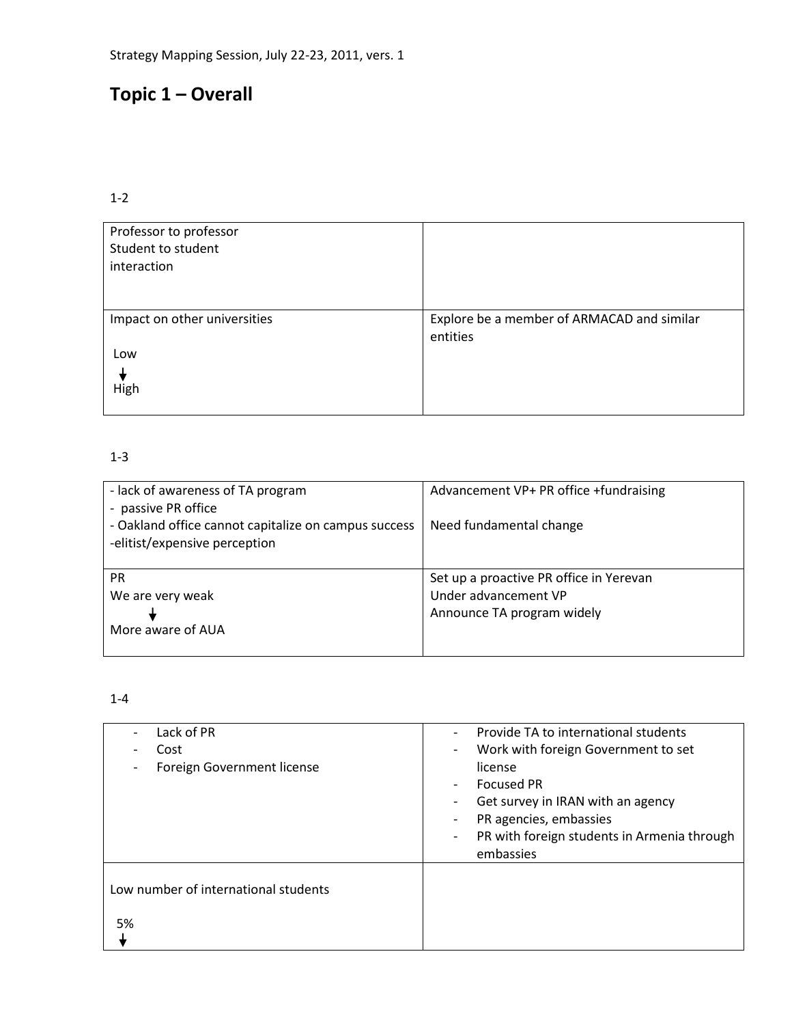## **Topic 1 – Overall**

## 1-2

| Professor to professor<br>Student to student<br>interaction |                                                        |
|-------------------------------------------------------------|--------------------------------------------------------|
| Impact on other universities                                | Explore be a member of ARMACAD and similar<br>entities |
| Low                                                         |                                                        |
| High                                                        |                                                        |

## 1-3

| - lack of awareness of TA program<br>- passive PR office                              | Advancement VP+ PR office +fundraising  |
|---------------------------------------------------------------------------------------|-----------------------------------------|
| - Oakland office cannot capitalize on campus success<br>-elitist/expensive perception | Need fundamental change                 |
| <b>PR</b>                                                                             | Set up a proactive PR office in Yerevan |
| We are very weak                                                                      | Under advancement VP                    |
|                                                                                       | Announce TA program widely              |
| More aware of AUA                                                                     |                                         |

| Lack of PR<br>Cost<br>Foreign Government license | Provide TA to international students<br>Work with foreign Government to set<br>$\overline{\phantom{a}}$<br>license<br><b>Focused PR</b><br>Get survey in IRAN with an agency<br>PR agencies, embassies<br>PR with foreign students in Armenia through<br>$\overline{\phantom{a}}$<br>embassies |
|--------------------------------------------------|------------------------------------------------------------------------------------------------------------------------------------------------------------------------------------------------------------------------------------------------------------------------------------------------|
| Low number of international students<br>5%       |                                                                                                                                                                                                                                                                                                |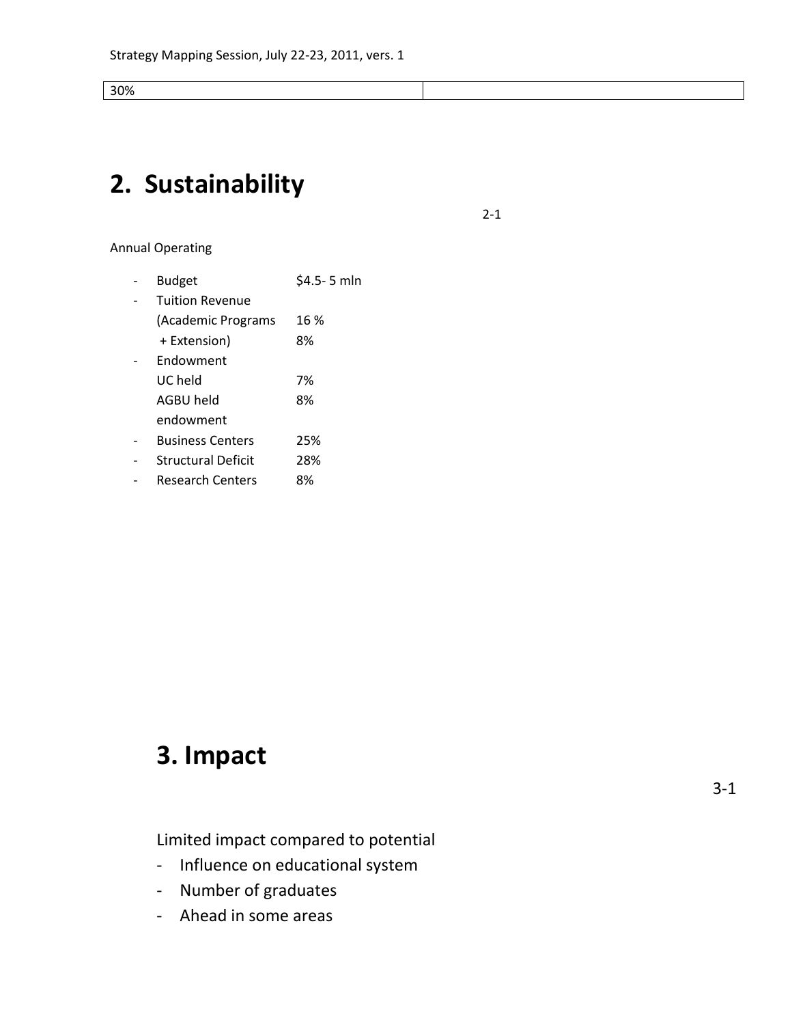30%

# **2. Sustainability**

2-1

Annual Operating

| Budget                    | \$4.5-5 mln |
|---------------------------|-------------|
| <b>Tuition Revenue</b>    |             |
| (Academic Programs        | 16 %        |
| + Extension)              | 8%          |
| Endowment                 |             |
| UC held                   | 7%          |
| AGBU held                 | 8%          |
| endowment                 |             |
| <b>Business Centers</b>   | 25%         |
| <b>Structural Deficit</b> | 28%         |
| Research Centers          | 8%          |

# **3. Impact**

Limited impact compared to potential

- Influence on educational system
- Number of graduates
- Ahead in some areas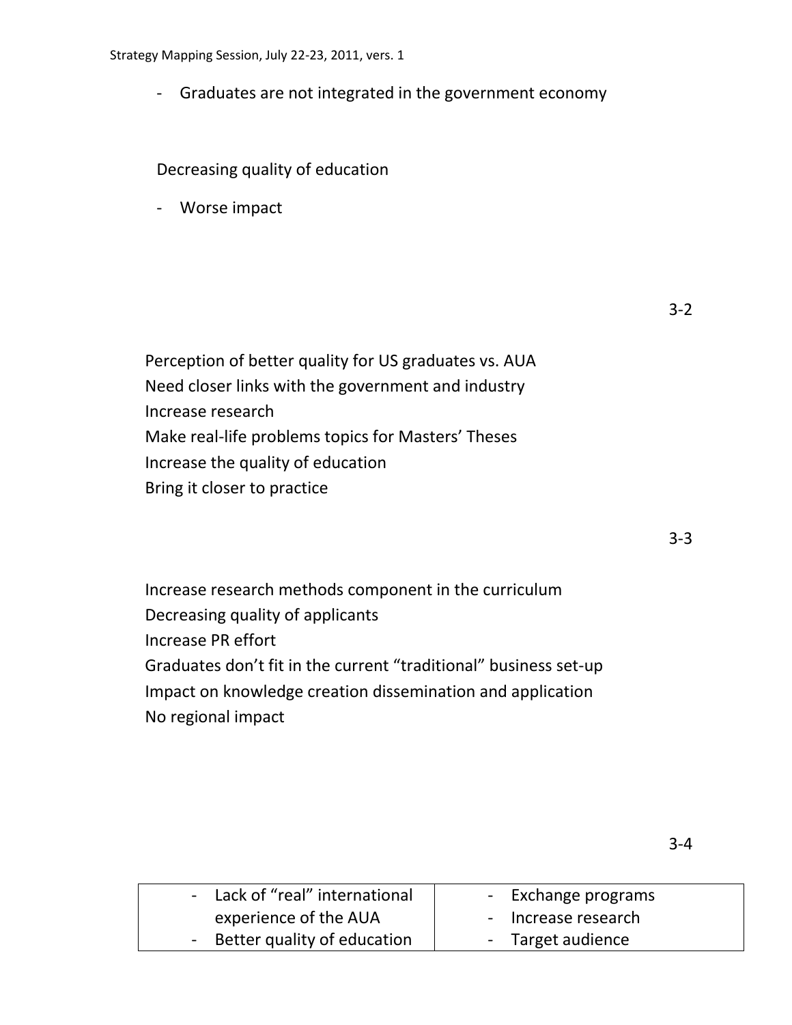- Graduates are not integrated in the government economy

Decreasing quality of education

- Worse impact

Perception of better quality for US graduates vs. AUA Need closer links with the government and industry Increase research Make real-life problems topics for Masters' Theses Increase the quality of education Bring it closer to practice

3-3

Increase research methods component in the curriculum Decreasing quality of applicants Increase PR effort Graduates don't fit in the current "traditional" business set-up Impact on knowledge creation dissemination and application No regional impact

| - Lack of "real" international | - Exchange programs |
|--------------------------------|---------------------|
| experience of the AUA          | - Increase research |
| - Better quality of education  | - Target audience   |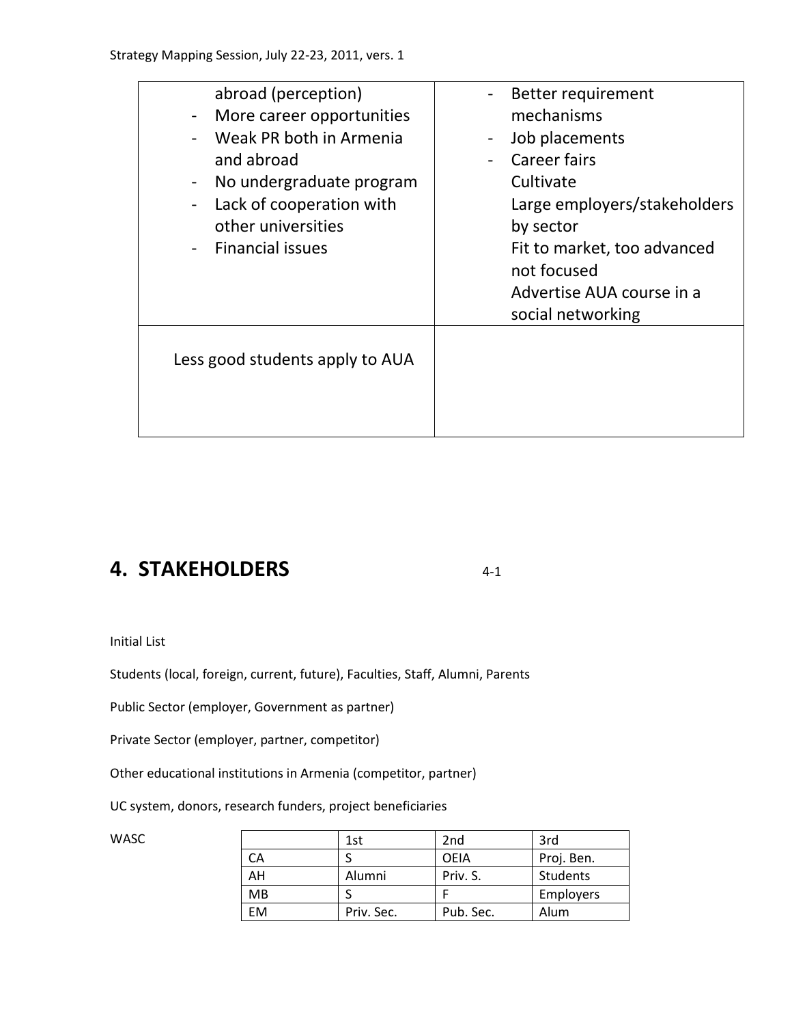| abroad (perception)<br>More career opportunities<br>Weak PR both in Armenia<br>and abroad<br>No undergraduate program<br>Lack of cooperation with<br>other universities<br><b>Financial issues</b> | Better requirement<br>mechanisms<br>Job placements<br>Career fairs<br>Cultivate<br>Large employers/stakeholders<br>by sector<br>Fit to market, too advanced<br>not focused<br>Advertise AUA course in a<br>social networking |
|----------------------------------------------------------------------------------------------------------------------------------------------------------------------------------------------------|------------------------------------------------------------------------------------------------------------------------------------------------------------------------------------------------------------------------------|
| Less good students apply to AUA                                                                                                                                                                    |                                                                                                                                                                                                                              |

## **4. STAKEHOLDERS** 4-1

Initial List

Students (local, foreign, current, future), Faculties, Staff, Alumni, Parents

Public Sector (employer, Government as partner)

Private Sector (employer, partner, competitor)

Other educational institutions in Armenia (competitor, partner)

UC system, donors, research funders, project beneficiaries

| WASC |           | 1st        | 2 <sub>nd</sub> | 3rd              |
|------|-----------|------------|-----------------|------------------|
|      | CA        |            | <b>OEIA</b>     | Proj. Ben.       |
|      | AH        | Alumni     | Priv. S.        | Students         |
|      | <b>MB</b> |            |                 | <b>Employers</b> |
|      | EM        | Priv. Sec. | Pub. Sec.       | Alum             |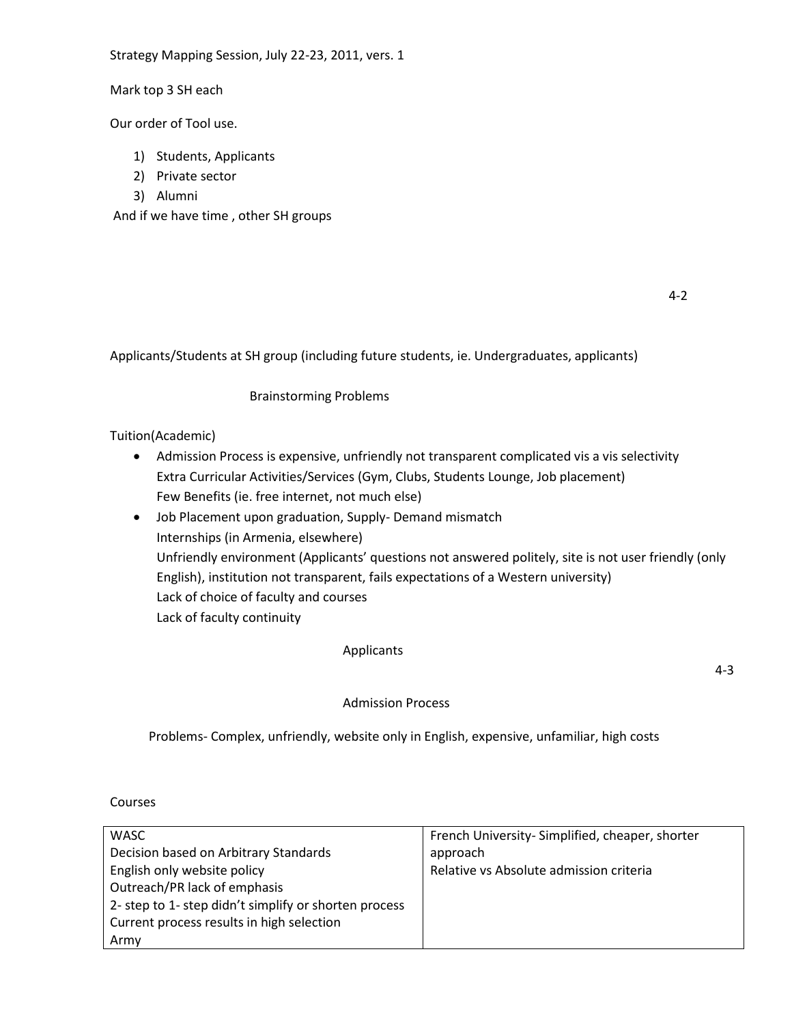Mark top 3 SH each

Our order of Tool use.

- 1) Students, Applicants
- 2) Private sector
- 3) Alumni

And if we have time , other SH groups

Applicants/Students at SH group (including future students, ie. Undergraduates, applicants)

### Brainstorming Problems

#### Tuition(Academic)

- Admission Process is expensive, unfriendly not transparent complicated vis a vis selectivity Extra Curricular Activities/Services (Gym, Clubs, Students Lounge, Job placement) Few Benefits (ie. free internet, not much else)
- Job Placement upon graduation, Supply- Demand mismatch Internships (in Armenia, elsewhere) Unfriendly environment (Applicants' questions not answered politely, site is not user friendly (only English), institution not transparent, fails expectations of a Western university) Lack of choice of faculty and courses Lack of faculty continuity

#### Applicants

4-3

#### Admission Process

Problems- Complex, unfriendly, website only in English, expensive, unfamiliar, high costs

Courses

| <b>WASC</b>                                           | French University-Simplified, cheaper, shorter |
|-------------------------------------------------------|------------------------------------------------|
| Decision based on Arbitrary Standards                 | approach                                       |
| English only website policy                           | Relative vs Absolute admission criteria        |
| Outreach/PR lack of emphasis                          |                                                |
| 2- step to 1- step didn't simplify or shorten process |                                                |
| Current process results in high selection             |                                                |
| Army                                                  |                                                |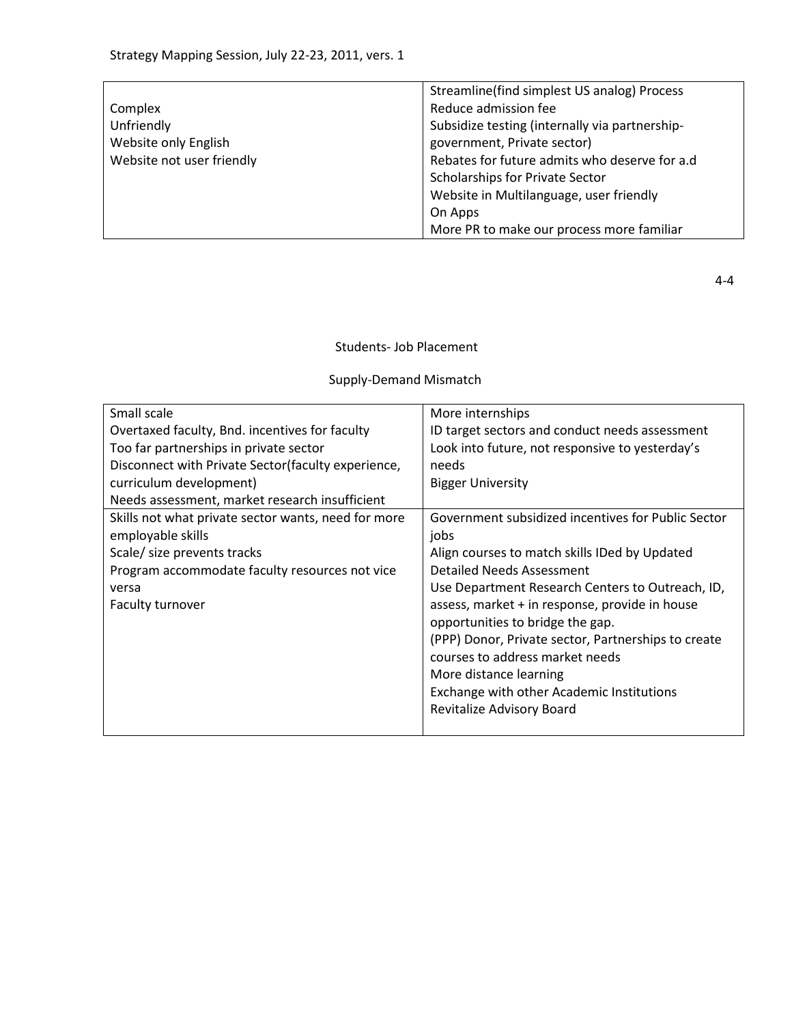|                           | Streamline(find simplest US analog) Process    |
|---------------------------|------------------------------------------------|
| Complex                   | Reduce admission fee                           |
| Unfriendly                | Subsidize testing (internally via partnership- |
| Website only English      | government, Private sector)                    |
| Website not user friendly | Rebates for future admits who deserve for a.d  |
|                           | Scholarships for Private Sector                |
|                           | Website in Multilanguage, user friendly        |
|                           | On Apps                                        |
|                           | More PR to make our process more familiar      |

4-4

Students- Job Placement

## Supply-Demand Mismatch

| Small scale                                         | More internships                                    |
|-----------------------------------------------------|-----------------------------------------------------|
| Overtaxed faculty, Bnd. incentives for faculty      | ID target sectors and conduct needs assessment      |
| Too far partnerships in private sector              | Look into future, not responsive to yesterday's     |
| Disconnect with Private Sector (faculty experience, | needs                                               |
| curriculum development)                             | <b>Bigger University</b>                            |
| Needs assessment, market research insufficient      |                                                     |
| Skills not what private sector wants, need for more | Government subsidized incentives for Public Sector  |
| employable skills                                   | jobs                                                |
| Scale/ size prevents tracks                         | Align courses to match skills IDed by Updated       |
| Program accommodate faculty resources not vice      | Detailed Needs Assessment                           |
| versa                                               | Use Department Research Centers to Outreach, ID,    |
| Faculty turnover                                    | assess, market + in response, provide in house      |
|                                                     | opportunities to bridge the gap.                    |
|                                                     | (PPP) Donor, Private sector, Partnerships to create |
|                                                     | courses to address market needs                     |
|                                                     | More distance learning                              |
|                                                     | Exchange with other Academic Institutions           |
|                                                     | Revitalize Advisory Board                           |
|                                                     |                                                     |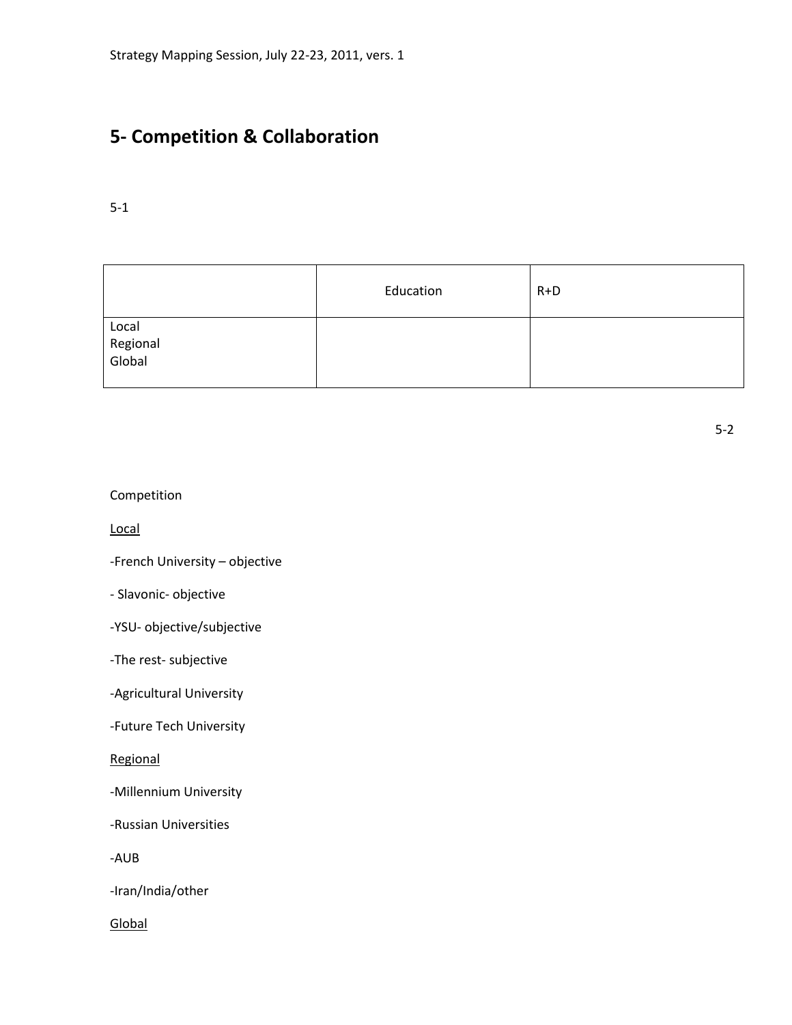## **5- Competition & Collaboration**

## 5-1

|                             | Education | $R+D$ |
|-----------------------------|-----------|-------|
| Local<br>Regional<br>Global |           |       |

| Competition |  |
|-------------|--|
|-------------|--|

Local

-French University – objective

- Slavonic- objective

-YSU- objective/subjective

-The rest- subjective

-Agricultural University

-Future Tech University

Regional

-Millennium University

-Russian Universities

-AUB

-Iran/India/other

Global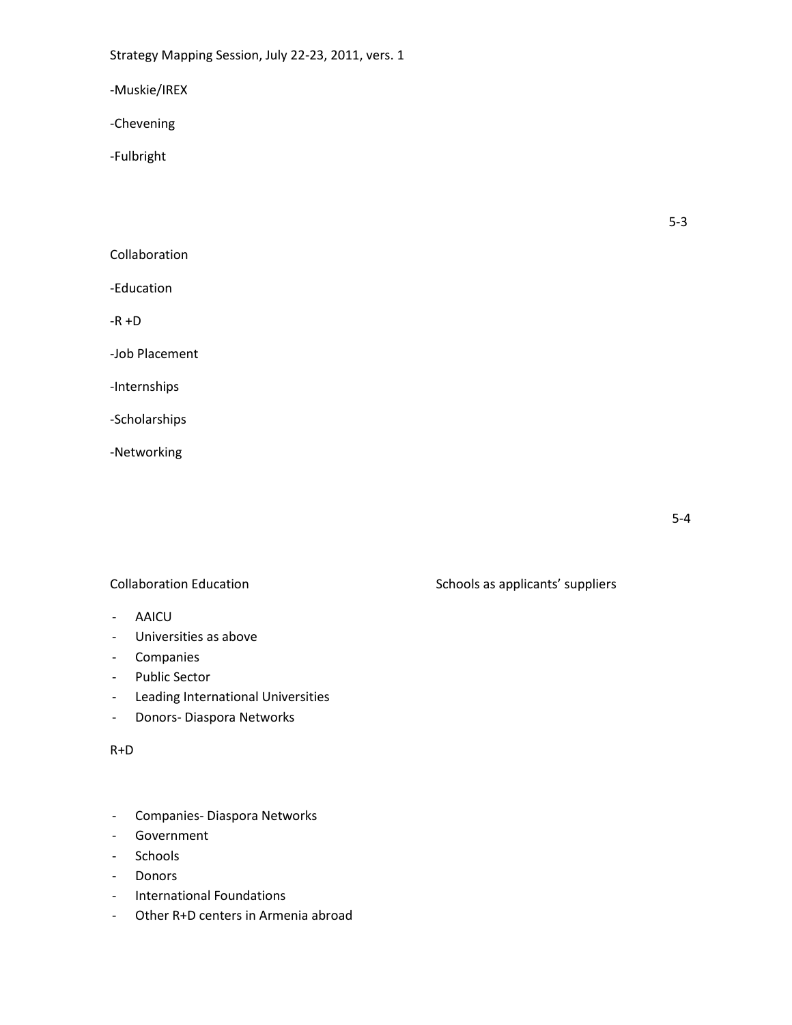-Muskie/IREX

-Chevening

-Fulbright

5-3

## Collaboration

-Education

-R +D

-Job Placement

-Internships

-Scholarships

-Networking

- AAICU
- Universities as above
- Companies
- Public Sector
- Leading International Universities
- Donors- Diaspora Networks

#### R+D

- Companies- Diaspora Networks
- Government
- **Schools**
- Donors
- International Foundations
- Other R+D centers in Armenia abroad

Collaboration Education **Schools** as applicants' suppliers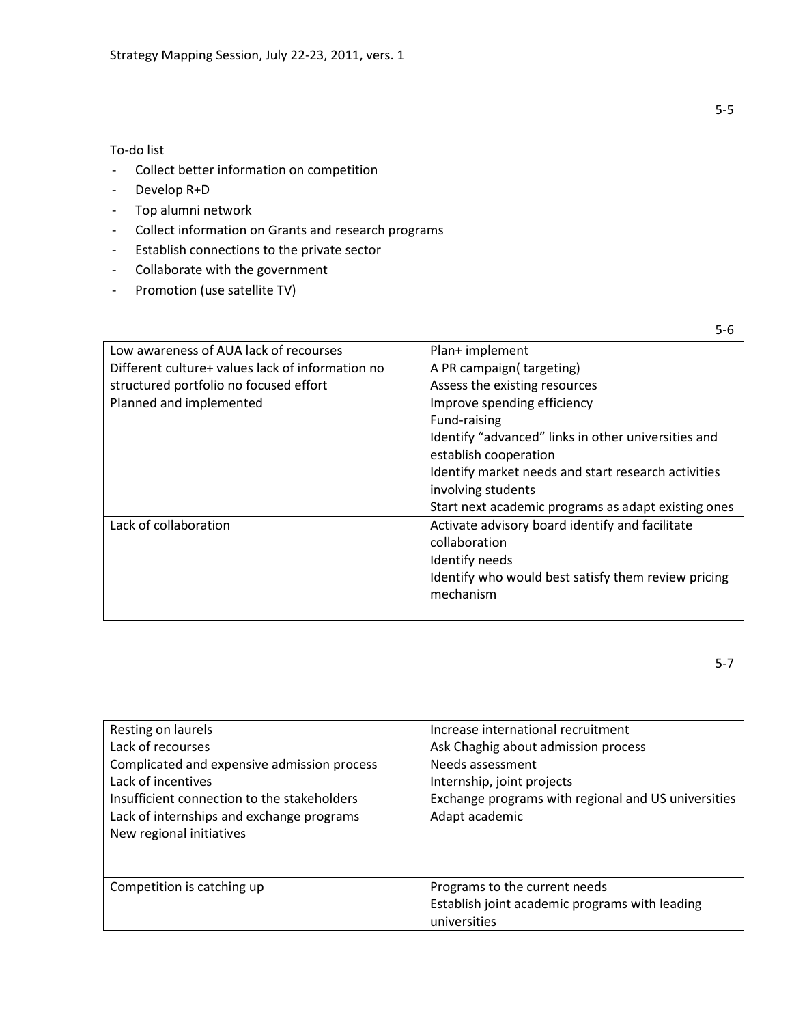To-do list

- Collect better information on competition
- Develop R+D
- Top alumni network
- Collect information on Grants and research programs
- Establish connections to the private sector
- Collaborate with the government
- Promotion (use satellite TV)

| Low awareness of AUA lack of recourses           | Plan+ implement                                     |
|--------------------------------------------------|-----------------------------------------------------|
| Different culture+ values lack of information no | A PR campaign(targeting)                            |
| structured portfolio no focused effort           | Assess the existing resources                       |
| Planned and implemented                          | Improve spending efficiency                         |
|                                                  | Fund-raising                                        |
|                                                  | Identify "advanced" links in other universities and |
|                                                  | establish cooperation                               |
|                                                  | Identify market needs and start research activities |
|                                                  | involving students                                  |
|                                                  | Start next academic programs as adapt existing ones |
| Lack of collaboration                            | Activate advisory board identify and facilitate     |
|                                                  | collaboration                                       |
|                                                  | Identify needs                                      |
|                                                  | Identify who would best satisfy them review pricing |
|                                                  | mechanism                                           |
|                                                  |                                                     |

| Resting on laurels<br>Lack of recourses<br>Complicated and expensive admission process<br>Lack of incentives<br>Insufficient connection to the stakeholders<br>Lack of internships and exchange programs<br>New regional initiatives | Increase international recruitment<br>Ask Chaghig about admission process<br>Needs assessment<br>Internship, joint projects<br>Exchange programs with regional and US universities<br>Adapt academic |
|--------------------------------------------------------------------------------------------------------------------------------------------------------------------------------------------------------------------------------------|------------------------------------------------------------------------------------------------------------------------------------------------------------------------------------------------------|
| Competition is catching up                                                                                                                                                                                                           | Programs to the current needs<br>Establish joint academic programs with leading<br>universities                                                                                                      |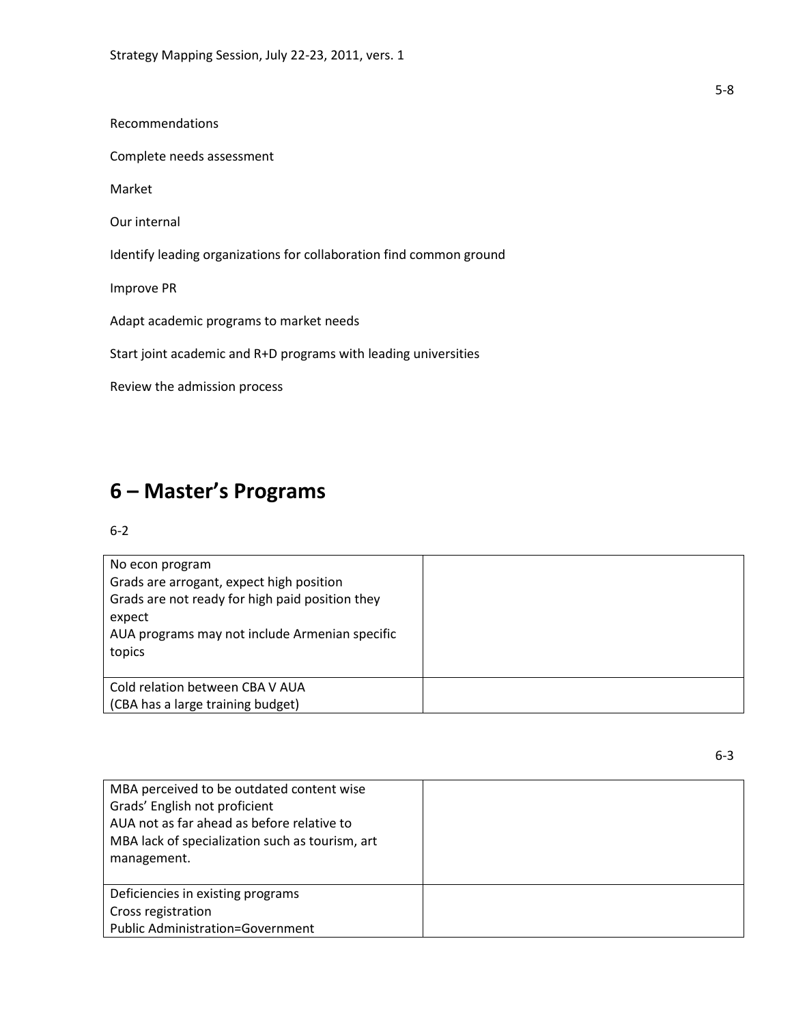Recommendations

Complete needs assessment

Market

Our internal

Identify leading organizations for collaboration find common ground

Improve PR

Adapt academic programs to market needs

Start joint academic and R+D programs with leading universities

Review the admission process

## **6 – Master's Programs**

## 6-2

| No econ program<br>Grads are arrogant, expect high position<br>Grads are not ready for high paid position they<br>expect<br>AUA programs may not include Armenian specific<br>topics |  |
|--------------------------------------------------------------------------------------------------------------------------------------------------------------------------------------|--|
| Cold relation between CBA V AUA<br>(CBA has a large training budget)                                                                                                                 |  |

| MBA perceived to be outdated content wise       |  |
|-------------------------------------------------|--|
| Grads' English not proficient                   |  |
| AUA not as far ahead as before relative to      |  |
| MBA lack of specialization such as tourism, art |  |
| management.                                     |  |
|                                                 |  |
|                                                 |  |
| Deficiencies in existing programs               |  |
| Cross registration                              |  |
| <b>Public Administration=Government</b>         |  |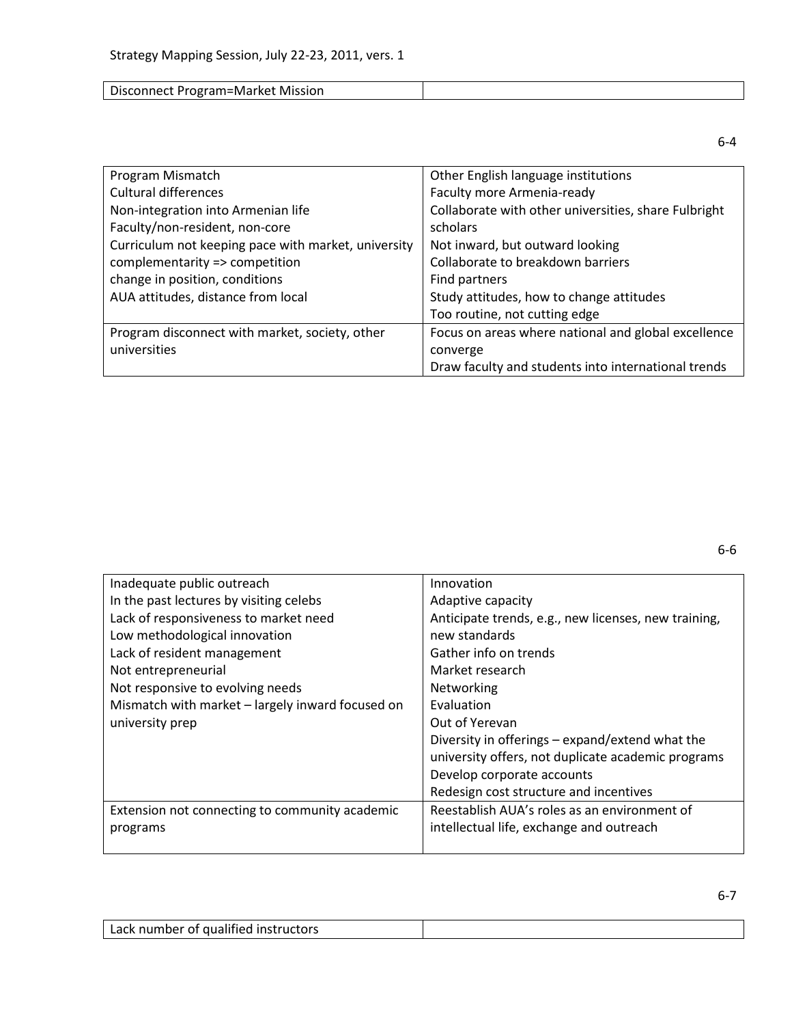| Disconnect Program=Market Mission |  |
|-----------------------------------|--|
|-----------------------------------|--|

| Program Mismatch                                    | Other English language institutions                  |
|-----------------------------------------------------|------------------------------------------------------|
| <b>Cultural differences</b>                         | Faculty more Armenia-ready                           |
| Non-integration into Armenian life                  | Collaborate with other universities, share Fulbright |
| Faculty/non-resident, non-core                      | scholars                                             |
| Curriculum not keeping pace with market, university | Not inward, but outward looking                      |
| complementarity => competition                      | Collaborate to breakdown barriers                    |
| change in position, conditions                      | Find partners                                        |
| AUA attitudes, distance from local                  | Study attitudes, how to change attitudes             |
|                                                     | Too routine, not cutting edge                        |
| Program disconnect with market, society, other      | Focus on areas where national and global excellence  |
| universities                                        | converge                                             |
|                                                     | Draw faculty and students into international trends  |

| Inadequate public outreach                       | Innovation                                           |
|--------------------------------------------------|------------------------------------------------------|
| In the past lectures by visiting celebs          | Adaptive capacity                                    |
| Lack of responsiveness to market need            | Anticipate trends, e.g., new licenses, new training, |
| Low methodological innovation                    | new standards                                        |
| Lack of resident management                      | Gather info on trends                                |
| Not entrepreneurial                              | Market research                                      |
| Not responsive to evolving needs                 | Networking                                           |
| Mismatch with market - largely inward focused on | <b>Fyaluation</b>                                    |
| university prep                                  | Out of Yerevan                                       |
|                                                  | Diversity in offerings - expand/extend what the      |
|                                                  | university offers, not duplicate academic programs   |
|                                                  | Develop corporate accounts                           |
|                                                  | Redesign cost structure and incentives               |
| Extension not connecting to community academic   | Reestablish AUA's roles as an environment of         |
| programs                                         | intellectual life, exchange and outreach             |
|                                                  |                                                      |

| Lack number of qualified instructors |  |
|--------------------------------------|--|
|--------------------------------------|--|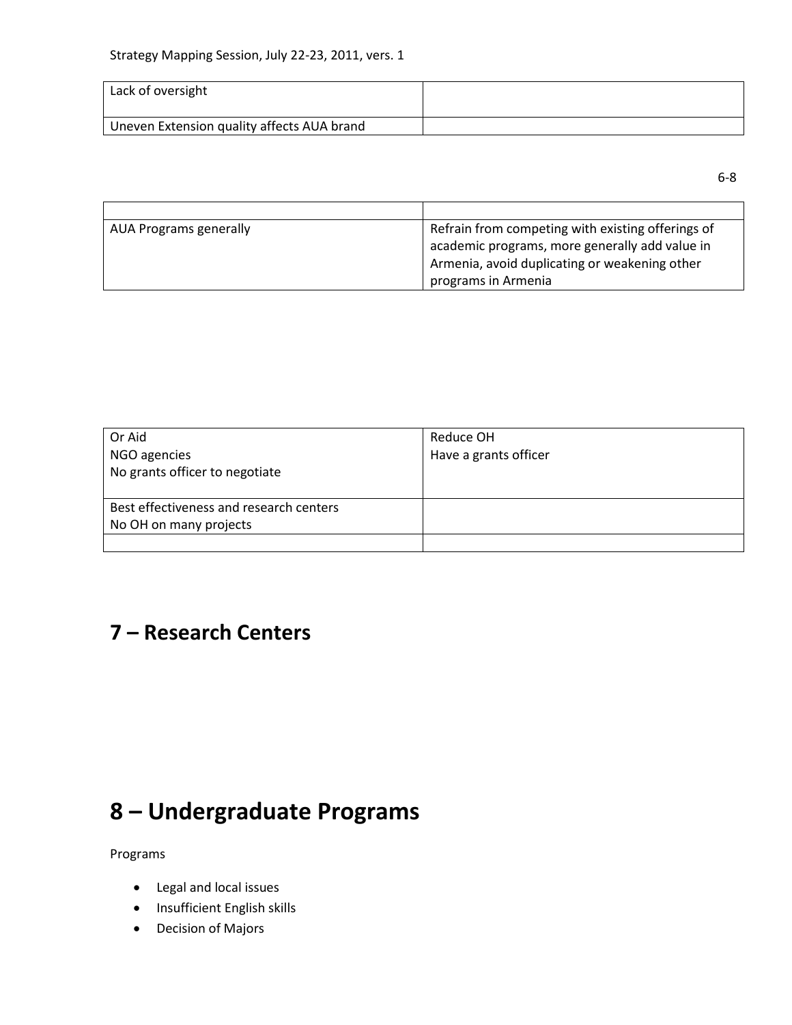| Lack of oversight                          |  |
|--------------------------------------------|--|
| Uneven Extension quality affects AUA brand |  |

6-8

| AUA Programs generally | Refrain from competing with existing offerings of |
|------------------------|---------------------------------------------------|
|                        | academic programs, more generally add value in    |
|                        | Armenia, avoid duplicating or weakening other     |
|                        | programs in Armenia                               |

| Or Aid                                  | Reduce OH             |
|-----------------------------------------|-----------------------|
| NGO agencies                            | Have a grants officer |
| No grants officer to negotiate          |                       |
|                                         |                       |
| Best effectiveness and research centers |                       |
| No OH on many projects                  |                       |
|                                         |                       |

## **7 – Research Centers**

# **8 – Undergraduate Programs**

Programs

- Legal and local issues
- **•** Insufficient English skills
- Decision of Majors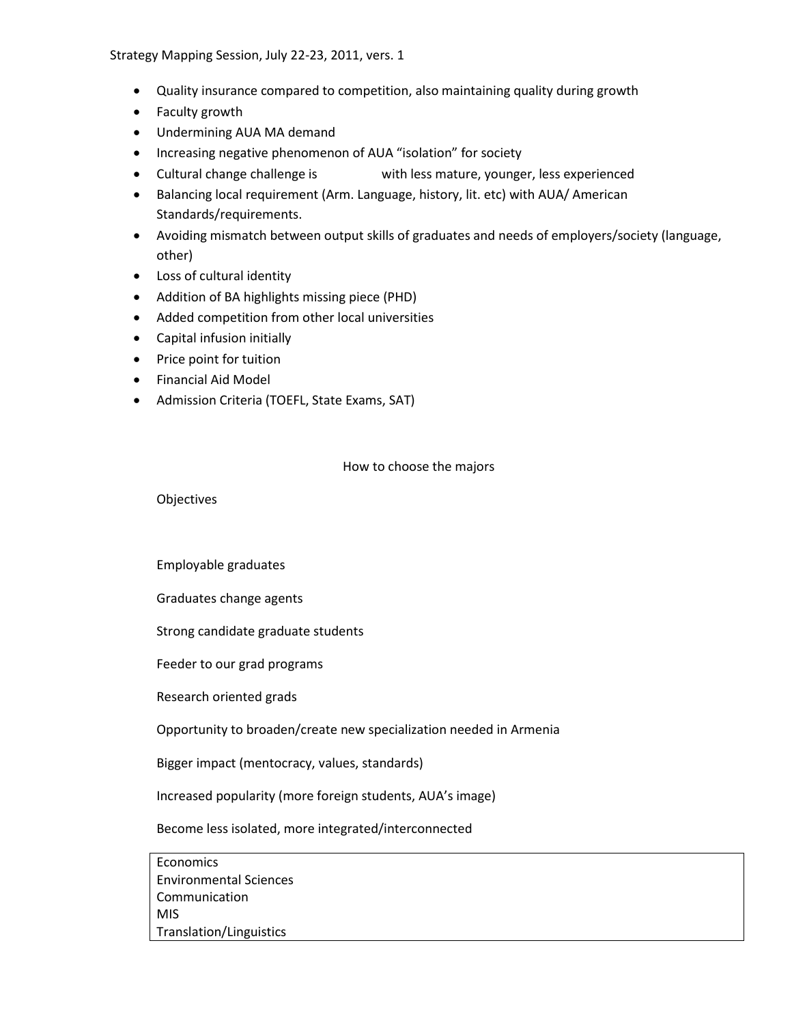- Quality insurance compared to competition, also maintaining quality during growth
- Faculty growth
- Undermining AUA MA demand
- Increasing negative phenomenon of AUA "isolation" for society
- Cultural change challenge is with less mature, younger, less experienced
- Balancing local requirement (Arm. Language, history, lit. etc) with AUA/ American Standards/requirements.
- Avoiding mismatch between output skills of graduates and needs of employers/society (language, other)
- Loss of cultural identity
- Addition of BA highlights missing piece (PHD)
- Added competition from other local universities
- Capital infusion initially
- Price point for tuition
- Financial Aid Model
- Admission Criteria (TOEFL, State Exams, SAT)

### How to choose the majors

**Objectives** 

Employable graduates

Graduates change agents

Strong candidate graduate students

Feeder to our grad programs

Research oriented grads

Opportunity to broaden/create new specialization needed in Armenia

Bigger impact (mentocracy, values, standards)

Increased popularity (more foreign students, AUA's image)

Become less isolated, more integrated/interconnected

Economics Environmental Sciences Communication MIS Translation/Linguistics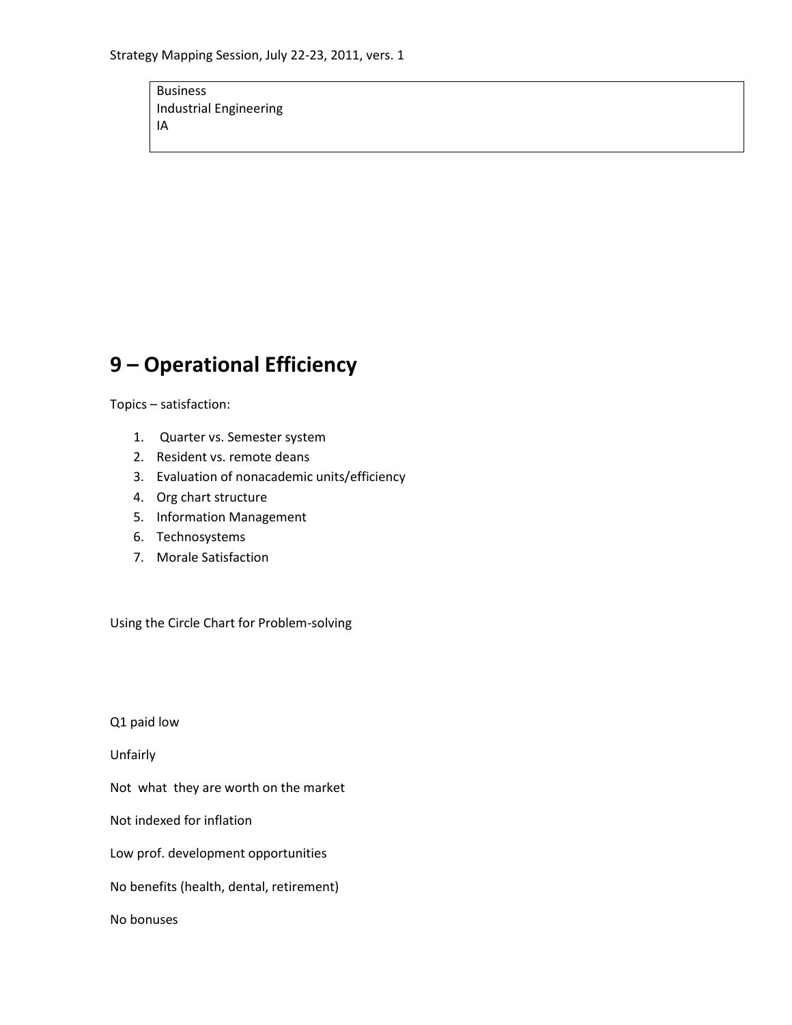Business Industrial Engineering IA

## **9 – Operational Efficiency**

Topics – satisfaction:

- 1. Quarter vs. Semester system
- 2. Resident vs. remote deans
- 3. Evaluation of nonacademic units/efficiency
- 4. Org chart structure
- 5. Information Management
- 6. Technosystems
- 7. Morale Satisfaction

Using the Circle Chart for Problem-solving

Q1 paid low

Unfairly

Not what they are worth on the market

Not indexed for inflation

Low prof. development opportunities

No benefits (health, dental, retirement)

No bonuses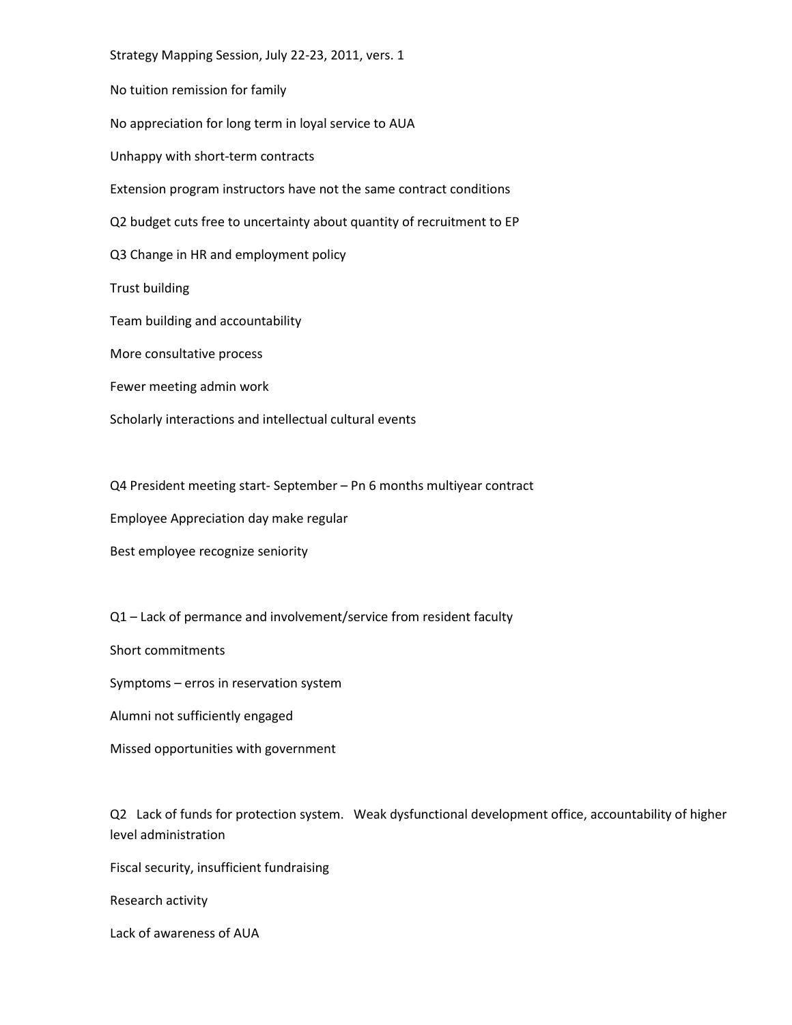Strategy Mapping Session, July 22-23, 2011, vers. 1 No tuition remission for family No appreciation for long term in loyal service to AUA Unhappy with short-term contracts Extension program instructors have not the same contract conditions Q2 budget cuts free to uncertainty about quantity of recruitment to EP Q3 Change in HR and employment policy Trust building Team building and accountability More consultative process Fewer meeting admin work Scholarly interactions and intellectual cultural events

Q4 President meeting start- September – Pn 6 months multiyear contract

Employee Appreciation day make regular

Best employee recognize seniority

Q1 – Lack of permance and involvement/service from resident faculty

Short commitments

Symptoms – erros in reservation system

Alumni not sufficiently engaged

Missed opportunities with government

Q2 Lack of funds for protection system. Weak dysfunctional development office, accountability of higher level administration

Fiscal security, insufficient fundraising

Research activity

Lack of awareness of AUA